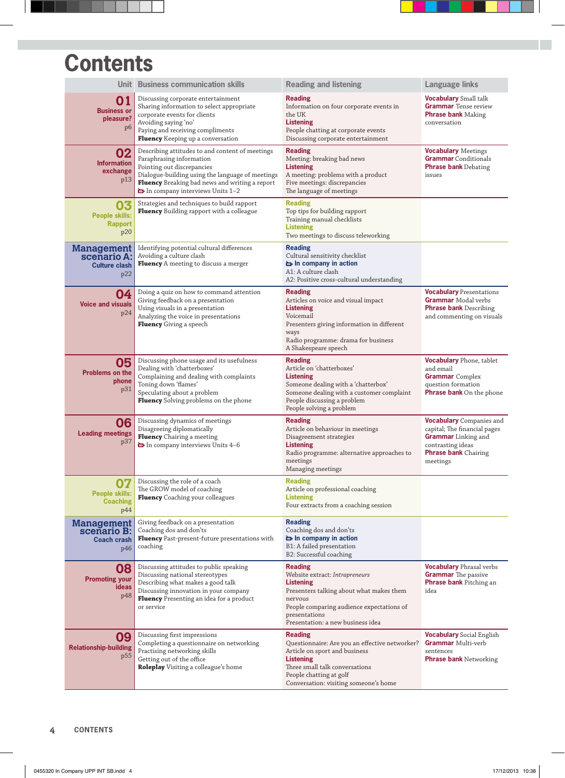## **Contents**

|                                                                 | Unit Business communication skills                                                                                                                                                                                                                 | <b>Reading and listening</b>                                                                                                                                                                                                   | <b>Language links</b>                                                                                                                                         |
|-----------------------------------------------------------------|----------------------------------------------------------------------------------------------------------------------------------------------------------------------------------------------------------------------------------------------------|--------------------------------------------------------------------------------------------------------------------------------------------------------------------------------------------------------------------------------|---------------------------------------------------------------------------------------------------------------------------------------------------------------|
| 01<br><b>Business or</b><br>pleasure?<br>p <sub>6</sub>         | Discussing corporate entertainment<br>Sharing information to select appropriate<br>corporate events for clients<br>Avoiding saying 'no'<br>Paying and receiving compliments<br>Fluency Keeping up a conversation                                   | <b>Reading</b><br>Information on four corporate events in<br>the UK<br><b>Listening</b><br>People chatting at corporate events<br>Discussing corporate entertainment                                                           | <b>Vocabulary</b> Small talk<br><b>Grammar</b> Tense review<br><b>Phrase bank</b> Making<br>conversation                                                      |
| 02<br><b>Information</b><br>exchange<br>p13                     | Describing attitudes to and content of meetings<br>Paraphrasing information<br>Pointing out discrepancies<br>Dialogue-building using the language of meetings<br>Fluency Breaking bad news and writing a report<br>In company interviews Units 1-2 | <b>Reading</b><br>Meeting: breaking bad news<br><b>Listening</b><br>A meeting: problems with a product<br>Five meetings: discrepancies<br>The language of meetings                                                             | <b>Vocabulary Meetings</b><br><b>Grammar</b> Conditionals<br><b>Phrase bank Debating</b><br>issues                                                            |
| 03<br><b>People skills:</b><br><b>Rapport</b><br>p20            | Strategies and techniques to build rapport<br>Fluency Building rapport with a colleague                                                                                                                                                            | <b>Reading</b><br>Top tips for building rapport<br>Training manual checklists<br><b>Listening</b><br>Two meetings to discuss teleworking                                                                                       |                                                                                                                                                               |
| <b>Management</b><br>scenario A:<br><b>Culture clash</b><br>p22 | Identifying potential cultural differences<br>Avoiding a culture clash<br>Fluency A meeting to discuss a merger                                                                                                                                    | <b>Reading</b><br>Cultural sensitivity checklist<br>in company in action<br>A1: A culture clash<br>A2: Positive cross-cultural understanding                                                                                   |                                                                                                                                                               |
| 04<br><b>Voice and visuals</b><br>p24                           | Doing a quiz on how to command attention<br>Giving feedback on a presentation<br>Using visuals in a presentation<br>Analyzing the voice in presentations<br>Fluency Giving a speech                                                                | <b>Reading</b><br>Articles on voice and visual impact<br><b>Listening</b><br>Voicemail<br>Presenters giving information in different<br>ways<br>Radio programme: drama for business<br>A Shakespeare speech                    | <b>Vocabulary Presentations</b><br><b>Grammar</b> Modal verbs<br><b>Phrase bank Describing</b><br>and commenting on visuals                                   |
| 05<br><b>Problems on the</b><br>phone<br>p31                    | Discussing phone usage and its usefulness<br>Dealing with 'chatterboxes'<br>Complaining and dealing with complaints<br>Toning down 'flames'<br>Speculating about a problem<br>Fluency Solving problems on the phone                                | <b>Reading</b><br>Article on 'chatterboxes'<br><b>Listening</b><br>Someone dealing with a 'chatterbox'<br>Someone dealing with a customer complaint<br>People discussing a problem<br>People solving a problem                 | <b>Vocabulary</b> Phone, tablet<br>and email<br><b>Grammar</b> Complex<br>question formation<br><b>Phrase bank</b> On the phone                               |
| 06<br><b>Leading meetings</b><br>p37                            | Discussing dynamics of meetings<br>Disagreeing diplomatically<br>Fluency Chairing a meeting<br>In company interviews Units 4-6                                                                                                                     | <b>Reading</b><br>Article on behaviour in meetings<br>Disagreement strategies<br><b>Listening</b><br>Radio programme: alternative approaches to<br>meetings<br>Managing meetings                                               | <b>Vocabulary</b> Companies and<br>capital; The financial pages<br><b>Grammar</b> Linking and<br>contrasting ideas<br><b>Phrase bank Chairing</b><br>meetings |
| <b>People skills:</b><br><b>Coaching</b><br>p44                 | Discussing the role of a coach<br>The GROW model of coaching<br>Fluency Coaching your colleagues                                                                                                                                                   | <b>Reading</b><br>Article on professional coaching<br><b>Listening</b><br>Four extracts from a coaching session                                                                                                                |                                                                                                                                                               |
| <b>Management</b><br>scenario B:<br><b>Coach crash</b><br>p46   | Giving feedback on a presentation<br>Coaching dos and don'ts<br>Fluency Past-present-future presentations with<br>coaching                                                                                                                         | <b>Reading</b><br>Coaching dos and don'ts<br>in company in action<br>B1: A failed presentation<br>B2: Successful coaching                                                                                                      |                                                                                                                                                               |
| 08<br><b>Promoting your</b><br>ideas<br>p48                     | Discussing attitudes to public speaking<br>Discussing national stereotypes<br>Describing what makes a good talk<br>Discussing innovation in your company<br>Fluency Presenting an idea for a product<br>or service                                 | <b>Reading</b><br>Website extract: Intrapreneurs<br><b>Listening</b><br>Presenters talking about what makes them<br>nervous<br>People comparing audience expectations of<br>presentations<br>Presentation: a new business idea | <b>Vocabulary Phrasal verbs</b><br><b>Grammar</b> The passive<br><b>Phrase bank Pitching an</b><br>idea                                                       |
| 09<br><b>Relationship-building</b><br>p <sub>55</sub>           | Discussing first impressions<br>Completing a questionnaire on networking<br>Practising networking skills<br>Getting out of the office<br>Roleplay Visiting a colleague's home                                                                      | <b>Reading</b><br>Questionnaire: Are you an effective networker?<br>Article on sport and business<br><b>Listening</b><br>Three small talk conversations<br>People chatting at golf<br>Conversation: visiting someone's home    | <b>Vocabulary</b> Social English<br><b>Grammar Multi-verb</b><br>sentences<br><b>Phrase bank</b> Networking                                                   |